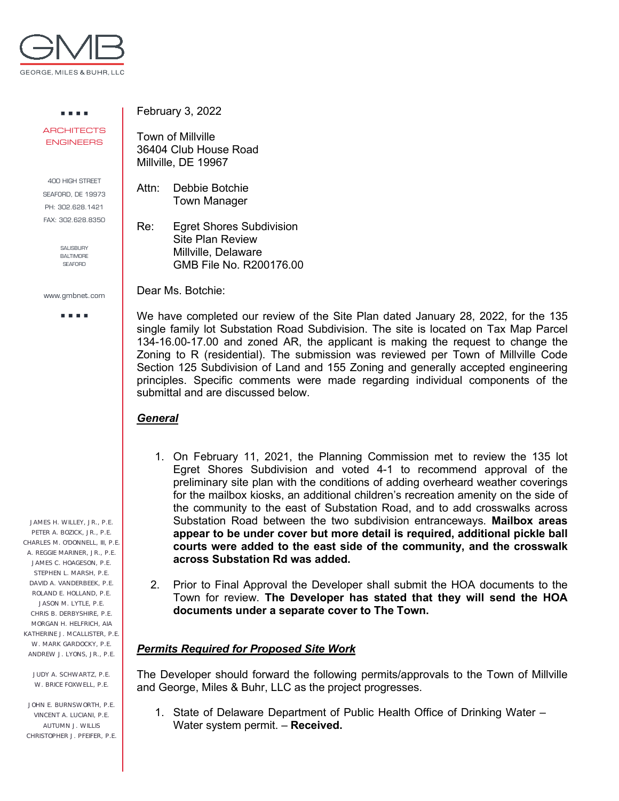

. . . . **ARCHITECTS** ENGINEERS

400 HIGH STREET SEAFORD, DE 19973 PH: 302.628.1421 FAX: 302.628.8350

> SALISBURY BALTIMORE **SEAFORD**

www.gmbnet.com

a a sua

JAMES H. WILLEY, JR., P.E. PETER A. BOZICK, JR., P.E. CHARLES M. O'DONNELL, III, P.E. A. REGGIE MARINER, JR., P.E. JAMES C. HOAGESON, P.E. STEPHEN L. MARSH, P.E. DAVID A. VANDERBEEK, P.E. ROLAND E. HOLLAND, P.E. JASON M. LYTLE, P.E. CHRIS B. DERBYSHIRE, P.E. MORGAN H. HELFRICH, AIA KATHERINE J. MCALLISTER, P.F. W. MARK GARDOCKY, P.E. ANDREW J. LYONS, JR., P.E.

JUDY A. SCHWARTZ, P.E. W. BRICE FOXWELL, P.E.

JOHN E. BURNSWORTH, P.E. VINCENT A. LUCIANI, P.E. AUTUMN J. WILLIS CHRISTOPHER J. PFEIFER, P.E. February 3, 2022

Town of Millville 36404 Club House Road Millville, DE 19967

Attn: Debbie Botchie Town Manager

Re: Egret Shores Subdivision Site Plan Review Millville, Delaware GMB File No. R200176.00

Dear Ms. Botchie:

We have completed our review of the Site Plan dated January 28, 2022, for the 135 single family lot Substation Road Subdivision. The site is located on Tax Map Parcel 134-16.00-17.00 and zoned AR, the applicant is making the request to change the Zoning to R (residential). The submission was reviewed per Town of Millville Code Section 125 Subdivision of Land and 155 Zoning and generally accepted engineering principles. Specific comments were made regarding individual components of the submittal and are discussed below.

## *General*

- 1. On February 11, 2021, the Planning Commission met to review the 135 lot Egret Shores Subdivision and voted 4-1 to recommend approval of the preliminary site plan with the conditions of adding overheard weather coverings for the mailbox kiosks, an additional children's recreation amenity on the side of the community to the east of Substation Road, and to add crosswalks across Substation Road between the two subdivision entranceways. **Mailbox areas appear to be under cover but more detail is required, additional pickle ball courts were added to the east side of the community, and the crosswalk across Substation Rd was added.**
- 2. Prior to Final Approval the Developer shall submit the HOA documents to the Town for review. **The Developer has stated that they will send the HOA documents under a separate cover to The Town.**

## *Permits Required for Proposed Site Work*

The Developer should forward the following permits/approvals to the Town of Millville and George, Miles & Buhr, LLC as the project progresses.

1. State of Delaware Department of Public Health Office of Drinking Water – Water system permit. – **Received.**